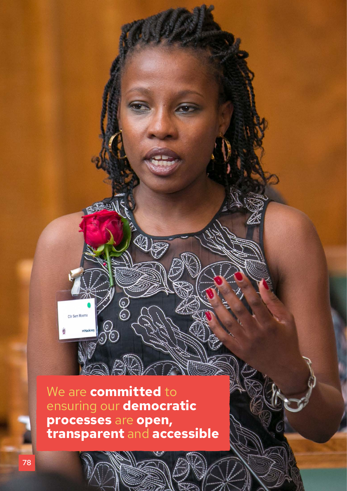We are **committed** to ensuring our **democratic processes** are **open, transparent** and **accessible**

L

00

ුරි

Cilir Sem Moema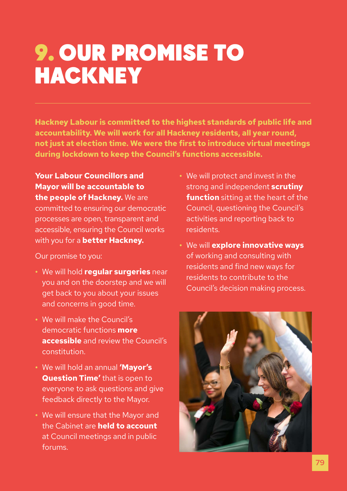## 9. OUR PROMISE TO **HACKNEY**

**Hackney Labour is committed to the highest standards of public life and accountability. We will work for all Hackney residents, all year round, not just at election time. We were the first to introduce virtual meetings during lockdown to keep the Council's functions accessible.**

**Your Labour Councillors and Mayor will be accountable to the people of Hackney.** We are committed to ensuring our democratic processes are open, transparent and accessible, ensuring the Council works with you for a **better Hackney.** 

Our promise to you:

- **•** We will hold **regular surgeries** near you and on the doorstep and we will get back to you about your issues and concerns in good time.
- **•** We will make the Council's democratic functions **more accessible** and review the Council's constitution.
- **•** We will hold an annual **'Mayor's Question Time'** that is open to everyone to ask questions and give feedback directly to the Mayor.
- **•** We will ensure that the Mayor and the Cabinet are **held to account**  at Council meetings and in public forums.
- **•** We will protect and invest in the strong and independent **scrutiny function** sitting at the heart of the Council, questioning the Council's activities and reporting back to residents.
- **•** We will **explore innovative ways**  of working and consulting with residents and find new ways for residents to contribute to the Council's decision making process.